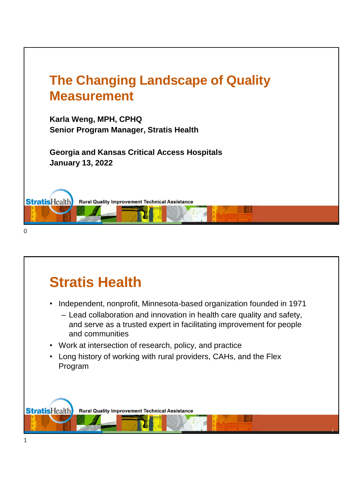

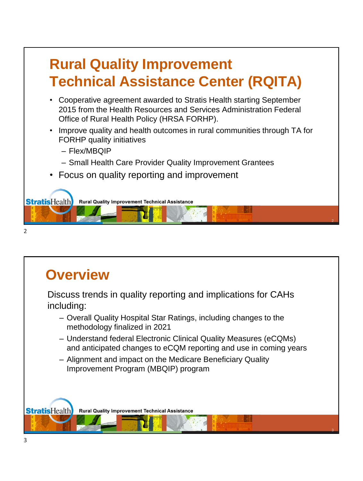# **Rural Quality Improvement Technical Assistance Center (RQITA)**

- Cooperative agreement awarded to Stratis Health starting September 2015 from the Health Resources and Services Administration Federal Office of Rural Health Policy (HRSA FORHP).
- Improve quality and health outcomes in rural communities through TA for FORHP quality initiatives

2

- Flex/MBQIP
- Small Health Care Provider Quality Improvement Grantees
- Focus on quality reporting and improvement





### **Overview** Discuss trends in quality reporting and implications for CAHs including: – Overall Quality Hospital Star Ratings, including changes to the methodology finalized in 2021 – Understand federal Electronic Clinical Quality Measures (eCQMs) and anticipated changes to eCQM reporting and use in coming years – Alignment and impact on the Medicare Beneficiary Quality Improvement Program (MBQIP) program **StratisHealth Rural Quality Improvement Technical Assistance** 3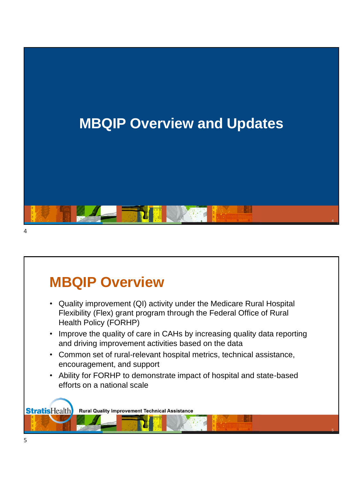

# **MBQIP Overview**

- Quality improvement (QI) activity under the Medicare Rural Hospital Flexibility (Flex) grant program through the Federal Office of Rural Health Policy (FORHP)
- Improve the quality of care in CAHs by increasing quality data reporting and driving improvement activities based on the data
- Common set of rural-relevant hospital metrics, technical assistance, encouragement, and support
- Ability for FORHP to demonstrate impact of hospital and state-based efforts on a national scale

5

**StratisHealth Rural Quality Improvement Technical Assistance**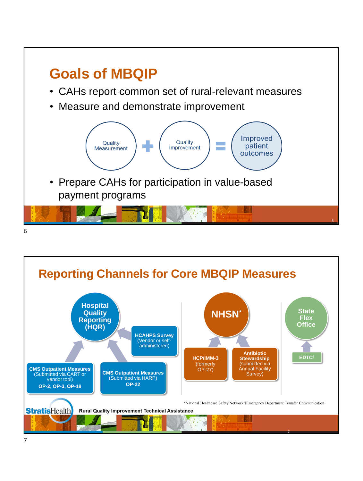

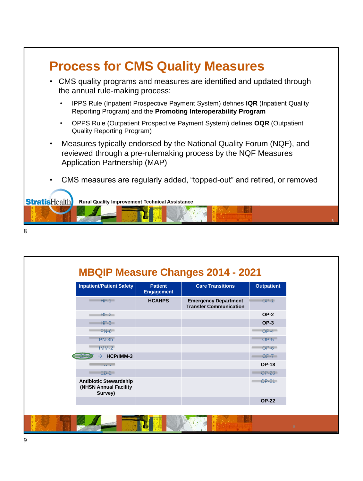

| <b>Inpatient/Patient Safety</b>                                   | <b>Patient</b><br><b>Engagement</b> | <b>Care Transitions</b>                                      | <b>Outpatient</b> |
|-------------------------------------------------------------------|-------------------------------------|--------------------------------------------------------------|-------------------|
| $HF-1$                                                            | <b>HCAHPS</b>                       | <b>Emergency Department</b><br><b>Transfer Communication</b> | $OP-1$            |
| $HF-2$                                                            |                                     |                                                              | $OP-2$            |
| $HF-3$                                                            |                                     |                                                              | $OP-3$            |
| $PN-6$                                                            |                                     |                                                              | $OP-4$            |
| $PN-3b$                                                           |                                     |                                                              | $OP-5$            |
| IMM-2                                                             |                                     |                                                              | $OP-6$            |
| HCP/IMM-3<br>$OP-$<br>$\rightarrow$                               |                                     |                                                              | $OP-7$            |
| ED-i I                                                            |                                     |                                                              | <b>OP-18</b>      |
| $ED-2$                                                            |                                     |                                                              | <b>OP-20</b>      |
| <b>Antibiotic Stewardship</b><br>(NHSN Annual Facility<br>Survey) |                                     |                                                              | $OP-21$           |
|                                                                   |                                     |                                                              | <b>OP-22</b>      |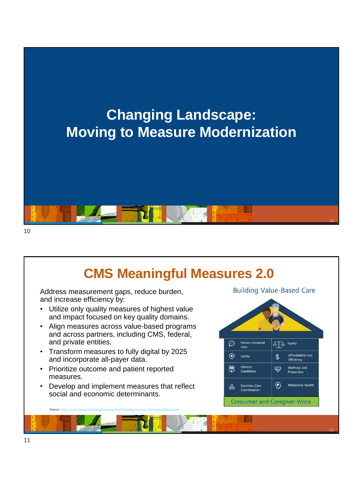

# **CMS Meaningful Measures 2.0**

Address measurement gaps, reduce burden, and increase efficiency by:

- Utilize only quality measures of highest value and impact focused on key quality domains.
- Align measures across value-based programs and across partners, including CMS, federal, and private entities.
- Transform measures to fully digital by 2025 and incorporate all-payer data.
- Prioritize outcome and patient reported measures.
- Develop and implement measures that reflect social and economic determinants.

Source:<https://www.cms.gov/meaningful-measures-20-moving-measure-reduction-modernization>

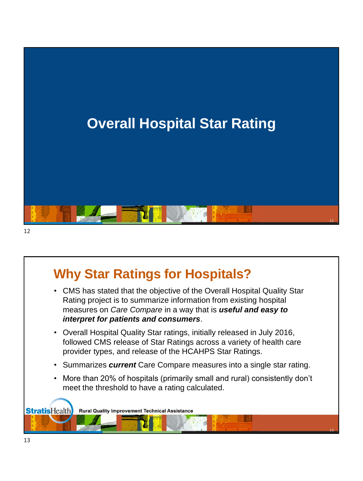

### **Why Star Ratings for Hospitals?**

- CMS has stated that the objective of the Overall Hospital Quality Star Rating project is to summarize information from existing hospital measures on *Care Compare* in a way that is *useful and easy to interpret for patients and consumers*.
- Overall Hospital Quality Star ratings, initially released in July 2016, followed CMS release of Star Ratings across a variety of health care provider types, and release of the HCAHPS Star Ratings.
- Summarizes *current* Care Compare measures into a single star rating.
- More than 20% of hospitals (primarily small and rural) consistently don't meet the threshold to have a rating calculated.

13

**StratisHealth Rural Quality Improvement Technical Assistance**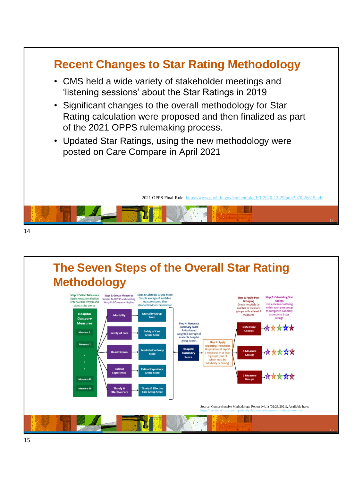

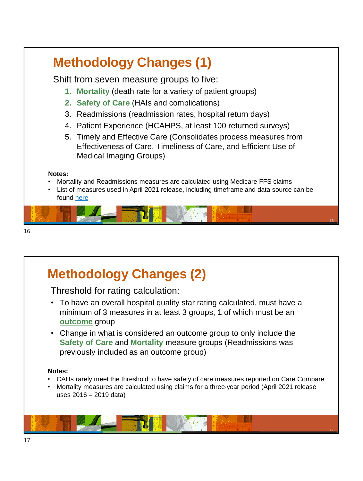

Threshold for rating calculation:

- To have an overall hospital quality star rating calculated, must have a minimum of 3 measures in at least 3 groups, 1 of which must be an **outcome** group
- Change in what is considered an outcome group to only include the **Safety of Care** and **Mortality** measure groups (Readmissions was previously included as an outcome group)

#### **Notes:**

- CAHs rarely meet the threshold to have safety of care measures reported on Care Compare
- Mortality measures are calculated using claims for a three-year period (April 2021 release uses 2016 – 2019 data)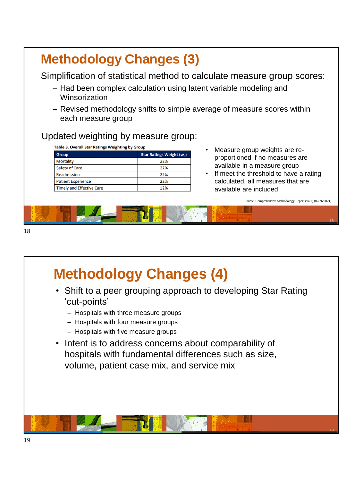| <b>Methodology Changes (3)</b>                                          |                                 |                                                                                                                                              |
|-------------------------------------------------------------------------|---------------------------------|----------------------------------------------------------------------------------------------------------------------------------------------|
| Winsorization                                                           |                                 | Simplification of statistical method to calculate measure group scores:<br>- Had been complex calculation using latent variable modeling and |
| each measure group<br>Updated weighting by measure group:               |                                 | - Revised methodology shifts to simple average of measure scores within                                                                      |
| <b>Table 3. Overall Star Ratings Weighting by Group</b><br><b>Group</b> | <b>Star Ratings Weight (Wd)</b> | Measure group weights are re-                                                                                                                |
| <b>Mortality</b>                                                        | 22%                             | proportioned if no measures are                                                                                                              |
| <b>Safety of Care</b>                                                   | 22%                             | available in a measure group                                                                                                                 |
| Readmission                                                             | 22%                             | If meet the threshold to have a rating                                                                                                       |
| <b>Patient Experience</b>                                               | 22%                             | calculated, all measures that are                                                                                                            |
| <b>Timely and Effective Care</b>                                        | 12%                             | available are included                                                                                                                       |
|                                                                         |                                 | Source: Comprehensive Methodology Report (v4.1) (02/26/2021)                                                                                 |

# **Methodology Changes (4)**

• Shift to a peer grouping approach to developing Star Rating 'cut-points'

18

- Hospitals with three measure groups
- Hospitals with four measure groups
- Hospitals with five measure groups
- Intent is to address concerns about comparability of hospitals with fundamental differences such as size, volume, patient case mix, and service mix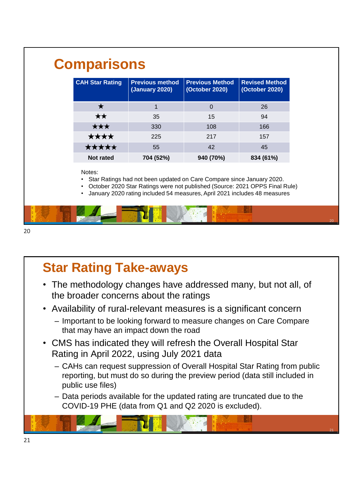| <b>CAH Star Rating</b>                        | <b>Previous method</b><br><b>(January 2020)</b>                                                                                                                                                                                   | <b>Previous Method</b><br>(October 2020) | <b>Revised Method</b><br>(October 2020) |
|-----------------------------------------------|-----------------------------------------------------------------------------------------------------------------------------------------------------------------------------------------------------------------------------------|------------------------------------------|-----------------------------------------|
| $\star$                                       | 1                                                                                                                                                                                                                                 | $\Omega$                                 | 26                                      |
| ★★                                            | 35                                                                                                                                                                                                                                | 15                                       | 94                                      |
| ★★★                                           | 330                                                                                                                                                                                                                               | 108                                      | 166                                     |
| ****                                          | 225                                                                                                                                                                                                                               | 217                                      | 157                                     |
| ★★★★★                                         | 55                                                                                                                                                                                                                                | 42                                       | 45                                      |
| Not rated                                     | 704 (52%)                                                                                                                                                                                                                         | 940 (70%)                                | 834 (61%)                               |
| Notes:<br>$\bullet$<br>$\bullet$<br>$\bullet$ | Star Ratings had not been updated on Care Compare since January 2020.<br>October 2020 Star Ratings were not published (Source: 2021 OPPS Final Rule)<br>January 2020 rating included 54 measures, April 2021 includes 48 measures |                                          |                                         |

# **Star Rating Take-aways**

- The methodology changes have addressed many, but not all, of the broader concerns about the ratings
- Availability of rural-relevant measures is a significant concern
	- Important to be looking forward to measure changes on Care Compare that may have an impact down the road
- CMS has indicated they will refresh the Overall Hospital Star Rating in April 2022, using July 2021 data
	- CAHs can request suppression of Overall Hospital Star Rating from public reporting, but must do so during the preview period (data still included in public use files)

21

– Data periods available for the updated rating are truncated due to the COVID-19 PHE (data from Q1 and Q2 2020 is excluded).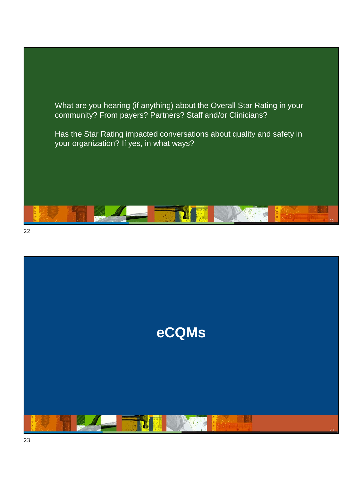What are you hearing (if anything) about the Overall Star Rating in your community? From payers? Partners? Staff and/or Clinicians?

Has the Star Rating impacted conversations about quality and safety in your organization? If yes, in what ways?





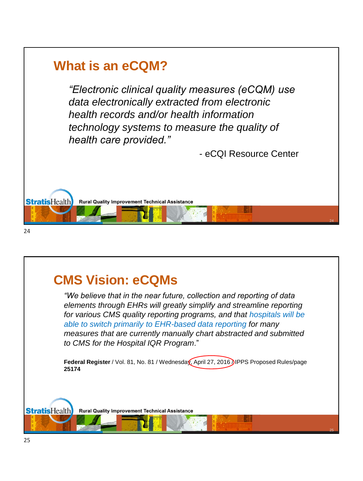

# **CMS Vision: eCQMs**

*"We believe that in the near future, collection and reporting of data elements through EHRs will greatly simplify and streamline reporting for various CMS quality reporting programs, and that hospitals will be able to switch primarily to EHR-based data reporting for many measures that are currently manually chart abstracted and submitted to CMS for the Hospital IQR Program*."

Federal Register / Vol. 81, No. 81 / Wednesday, April 27, 2016 *IPPS Proposed Rules/page* **25174** 

25

**Rural Quality Improvement Technical Assistance** 

**StratisHealth**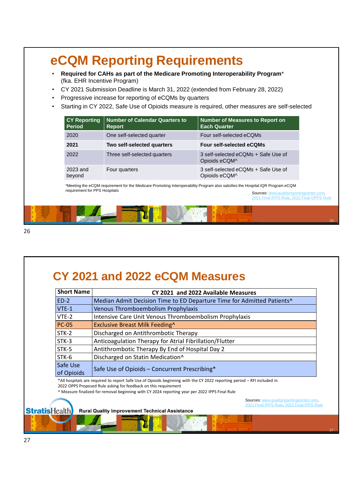### **eCQM Reporting Requirements**

- **Required for CAHs as part of the Medicare Promoting Interoperability Program**\* (fka. EHR Incentive Program)
- CY 2021 Submission Deadline is March 31, 2022 (extended from February 28, 2022)
- Progressive increase for reporting of eCQMs by quarters
- Starting in CY 2022, Safe Use of Opioids measure is required, other measures are self-selected

| <b>CY Reporting</b><br><b>Period</b> | Number of Calendar Quarters to<br><b>Report</b> | <b>Number of Measures to Report on</b><br><b>Each Quarter</b> |
|--------------------------------------|-------------------------------------------------|---------------------------------------------------------------|
| 2020                                 | One self-selected quarter                       | Four self-selected eCQMs                                      |
| 2021                                 | Two self-selected quarters                      | <b>Four self-selected eCQMs</b>                               |
| 2022                                 | Three self-selected quarters                    | 3 self-selected eCOMs + Safe Use of<br>Opioids eCQM^          |
| 2023 and<br>beyond                   | Four quarters                                   | 3 self-selected eCQMs + Safe Use of<br>Opioids eCQM^          |

\*Meeting the eCQM requirement for the Medicare Promoting Interoperability Program also satisfies the Hospital IQR Program eCQM requirement for PPS Hospitals

Sources: [www.qualityreportingcenter.com](http://www.qualityreportingcenter.com/), [2021 Final IPPS Rule,](https://www.federalregister.gov/documents/2020/09/18/2020-19637/medicare-program-hospital-inpatient-prospective-payment-systems-for-acute-care-hospitals-and-the) [2022 Final OPPS Rule](https://www.federalregister.gov/documents/2021/11/16/2021-24011/medicare-program-hospital-outpatient-prospective-payment-and-ambulatory-surgical-center-payment)

#### **CY 2021 and 2022 eCQM Measures**

| <b>Short Name</b> | CY 2021 and 2022 Available Measures                                                |  |
|-------------------|------------------------------------------------------------------------------------|--|
| $ED-2$            | Median Admit Decision Time to ED Departure Time for Admitted Patients <sup>^</sup> |  |
| $VTE-1$           | Venous Thromboembolism Prophylaxis                                                 |  |
| $VTE-2$           | Intensive Care Unit Venous Thromboembolism Prophylaxis                             |  |
| <b>PC-05</b>      | Exclusive Breast Milk Feeding <sup>^</sup>                                         |  |
| $STK-2$           | Discharged on Antithrombotic Therapy                                               |  |
| $STK-3$           | Anticoagulation Therapy for Atrial Fibrillation/Flutter                            |  |
| STK-5             | Antithrombotic Therapy By End of Hospital Day 2                                    |  |
| STK-6             | Discharged on Statin Medication^                                                   |  |
| Safe Use          | Safe Use of Opioids - Concurrent Prescribing*                                      |  |
| of Opioids        |                                                                                    |  |

\*All hospitals are required to report Safe Use of Opioids beginning with the CY 2022 reporting period – RFI included in 2022 OPPS Proposed Rule asking for feedback on this requirement

^ Measure finalized for removal beginning with CY 2024 reporting year per 2022 IPPS Final Rule

Sources: [www.qualityreportingcenter.com](http://www.qualityreportingcenter.com/),<br>[2021 Final IPPS Rule,](https://www.federalregister.gov/documents/2020/09/18/2020-19637/medicare-program-hospital-inpatient-prospective-payment-systems-for-acute-care-hospitals-and-the) [2022 Final IPPS Rule](https://www.federalregister.gov/d/2021-16519/p-5740)

#### **StratisHealth**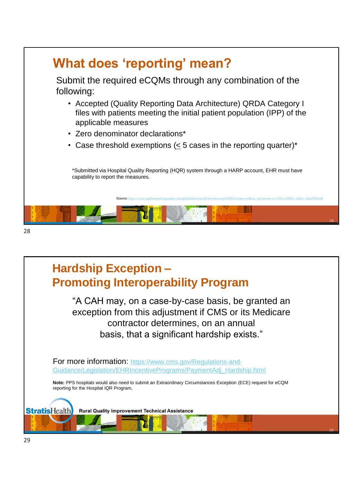

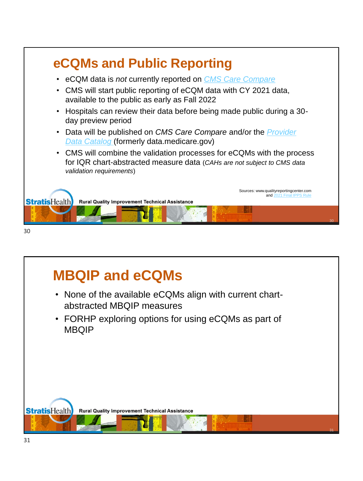

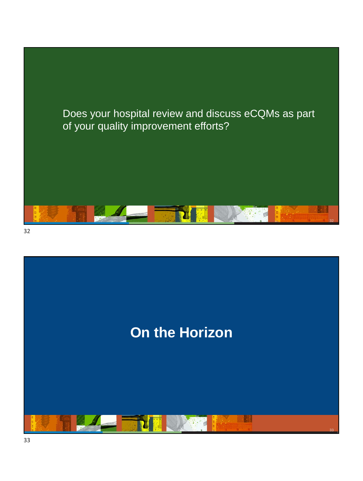

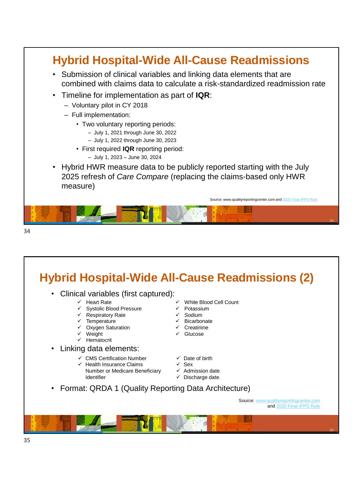

#### **Hybrid Hospital-Wide All-Cause Readmissions (2)** • Clinical variables (first captured): ✓ Heart Rate ✓ Systolic Blood Pressure ✓ White Blood Cell Count

- 
- ✓ Respiratory Rate
- ✓ Temperature ✓ Oxygen Saturation
- ✓ Weight
- 
- ✓ Hematocrit
- Linking data elements:
	- ✓ CMS Certification Number
	- Health Insurance Claims Number or Medicare Beneficiary Identifier
- ✓ Potassium
- ✓ Sodium
- ✓ Bicarbonate
- ✓ Creatinine
- ✓ Glucose
- ✓ Date of birth
- $\sqrt{S}$  Sex
- ✓ Admission date
- ✓ Discharge date.
- Format: QRDA 1 (Quality Reporting Data Architecture)

Source: [www.qualityreportingcenter.com](http://www.qualityreportingcenter.com/) and [2020 Final IPPS Rule](https://www.federalregister.gov/documents/2019/08/16/2019-16762/medicare-program-hospital-inpatient-prospective-payment-systems-for-acute-care-hospitals-and-the)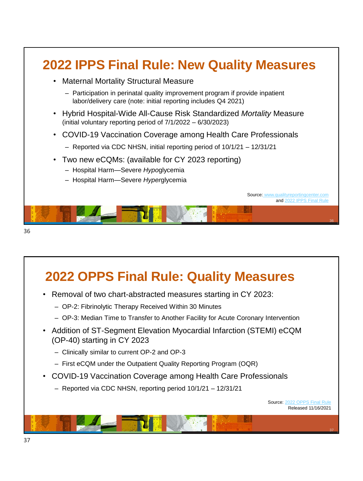

### **2022 OPPS Final Rule: Quality Measures**

- Removal of two chart-abstracted measures starting in CY 2023:
	- OP-2: Fibrinolytic Therapy Received Within 30 Minutes
	- OP-3: Median Time to Transfer to Another Facility for Acute Coronary Intervention
- Addition of ST-Segment Elevation Myocardial Infarction (STEMI) eCQM (OP-40) starting in CY 2023
	- Clinically similar to current OP-2 and OP-3
	- First eCQM under the Outpatient Quality Reporting Program (OQR)
- COVID-19 Vaccination Coverage among Health Care Professionals
	- Reported via CDC NHSN, reporting period 10/1/21 12/31/21

Source: [2022 OPPS Final Rule](https://www.federalregister.gov/documents/2021/11/16/2021-24011/medicare-program-hospital-outpatient-prospective-payment-and-ambulatory-surgical-center-payment) Released 11/16/2021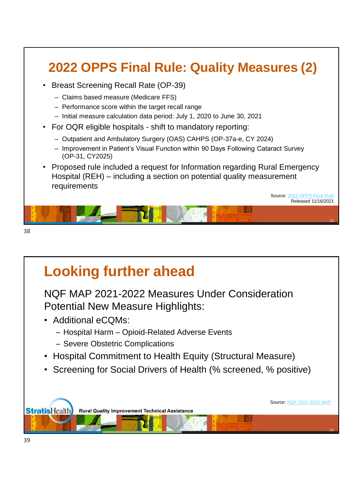

# **Looking further ahead**

NQF MAP 2021-2022 Measures Under Consideration Potential New Measure Highlights:

- Additional eCQMs:
	- Hospital Harm Opioid-Related Adverse Events
	- Severe Obstetric Complications
- Hospital Commitment to Health Equity (Structural Measure)
- Screening for Social Drivers of Health (% screened, % positive)

**StratisHealth Rural Quality Improvement Technical Assistance**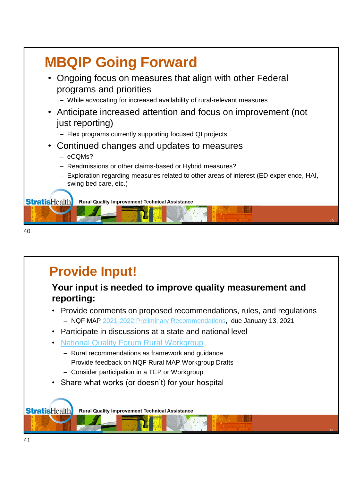

```
40
```
## **Provide Input!**

#### **Your input is needed to improve quality measurement and reporting:**

• Provide comments on proposed recommendations, rules, and regulations – NQF MAP [2021-2022 Preliminary Recommendations](https://www.qualityforum.org/map/), due January 13, 2021

41

- Participate in discussions at a state and national level
- [National Quality Forum Rural Workgroup](https://www.qualityforum.org/MAP_Rural_Health_Workgroup.aspx)
	- Rural recommendations as framework and guidance
	- Provide feedback on NQF Rural MAP Workgroup Drafts
	- Consider participation in a TEP or Workgroup
- Share what works (or doesn't) for your hospital

**StratisHealth Rural Quality Improvement Technical Assistance**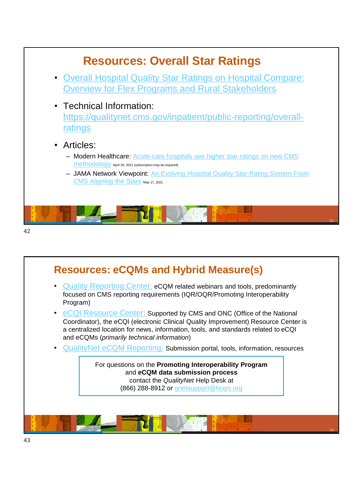

- [Quality Reporting Center:](https://www.qualityreportingcenter.com/) eCQM related webinars and tools, predominantly focused on CMS reporting requirements (IQR/OQR/Promoting Interoperability Program)
- eCQI [Resource Center:](https://ecqi.healthit.gov/) Supported by CMS and ONC (Office of the National Coordinator), the eCQI (electronic Clinical Quality Improvement) Resource Center is a centralized location for news, information, tools, and standards related to eCQI and eCQMs (*primarily technical information*)
- QualityNet [eCQM Reporting:](https://www.qualitynet.org/dcs/ContentServer?c=Page&pagename=QnetPublic/Page/QnetTier2&cid=1228773849716) Submission portal, tools, information, resources

For questions on the **Promoting Interoperability Program**  and **eCQM data submission process** contact the *QualityNet* Help Desk at (866) 288-8912 or [qnetsupport@hcqis.org](mailto:qnetsupport@hcqis.org)